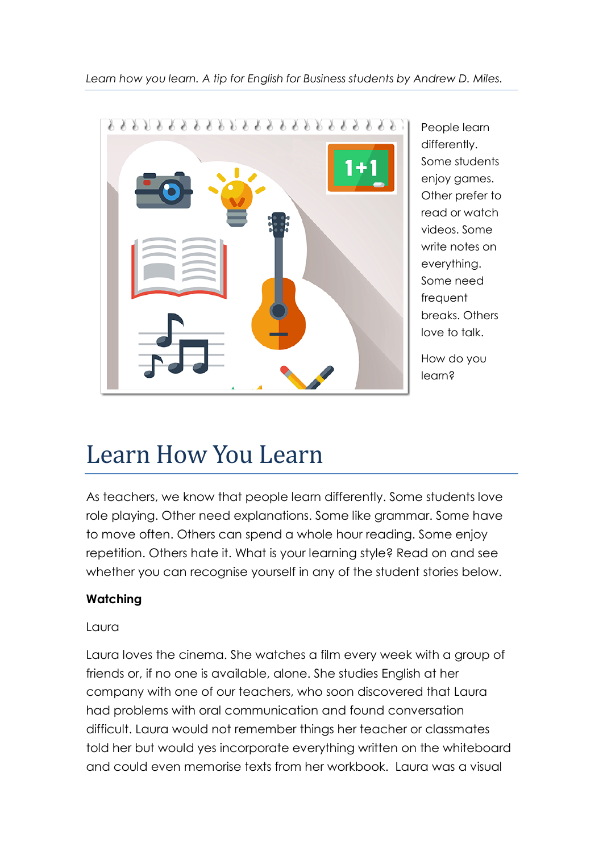*Learn how you learn. A tip for English for Business students by Andrew D. Miles.*



People learn differently. Some students enjoy games. Other prefer to read or watch videos. Some write notes on everything. Some need frequent breaks. Others love to talk.

How do you learn?

# Learn How You Learn

As teachers, we know that people learn differently. Some students love role playing. Other need explanations. Some like grammar. Some have to move often. Others can spend a whole hour reading. Some enjoy repetition. Others hate it. What is your learning style? Read on and see whether you can recognise yourself in any of the student stories below.

# **Watching**

## Laura

Laura loves the cinema. She watches a film every week with a group of friends or, if no one is available, alone. She studies English at her company with one of our teachers, who soon discovered that Laura had problems with oral communication and found conversation difficult. Laura would not remember things her teacher or classmates told her but would yes incorporate everything written on the whiteboard and could even memorise texts from her workbook. Laura was a visual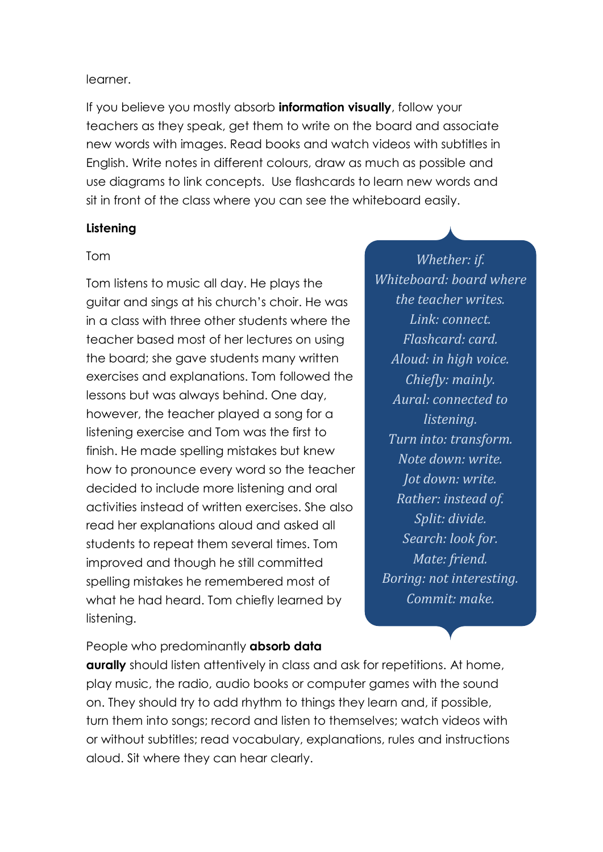#### learner.

If you believe you mostly absorb **information visually**, follow your teachers as they speak, get them to write on the board and associate new words with images. Read books and watch videos with subtitles in English. Write notes in different colours, draw as much as possible and use diagrams to link concepts. Use flashcards to learn new words and sit in front of the class where you can see the whiteboard easily.

#### **Listening**

#### Tom

Tom listens to music all day. He plays the guitar and sings at his church's choir. He was in a class with three other students where the teacher based most of her lectures on using the board; she gave students many written exercises and explanations. Tom followed the lessons but was always behind. One day, however, the teacher played a song for a listening exercise and Tom was the first to finish. He made spelling mistakes but knew how to pronounce every word so the teacher decided to include more listening and oral activities instead of written exercises. She also read her explanations aloud and asked all students to repeat them several times. Tom improved and though he still committed spelling mistakes he remembered most of what he had heard. Tom chiefly learned by listening.

*Whether: if. Whiteboard: board where the teacher writes. Link: connect. Flashcard: card. Aloud: in high voice. Chiefly: mainly. Aural: connected to listening. Turn into: transform. Note down: write. Jot down: write. Rather: instead of. Split: divide. Search: look for. Mate: friend. Boring: not interesting. Commit: make.*

People who predominantly **absorb data** 

**aurally** should listen attentively in class and ask for repetitions. At home, play music, the radio, audio books or computer games with the sound on. They should try to add rhythm to things they learn and, if possible, turn them into songs; record and listen to themselves; watch videos with or without subtitles; read vocabulary, explanations, rules and instructions aloud. Sit where they can hear clearly.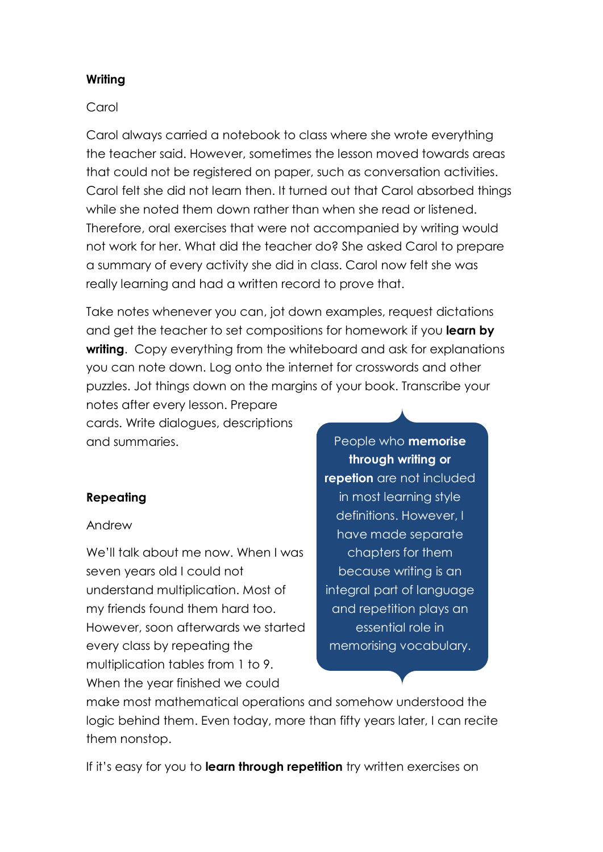#### **Writing**

#### Carol

Carol always carried a notebook to class where she wrote everything the teacher said. However, sometimes the lesson moved towards areas that could not be registered on paper, such as conversation activities. Carol felt she did not learn then. It turned out that Carol absorbed things while she noted them down rather than when she read or listened. Therefore, oral exercises that were not accompanied by writing would not work for her. What did the teacher do? She asked Carol to prepare a summary of every activity she did in class. Carol now felt she was really learning and had a written record to prove that.

Take notes whenever you can, jot down examples, request dictations and get the teacher to set compositions for homework if you **learn by writing**. Copy everything from the whiteboard and ask for explanations you can note down. Log onto the internet for crosswords and other puzzles. Jot things down on the margins of your book. Transcribe your

notes after every lesson. Prepare cards. Write dialogues, descriptions and summaries.

## **Repeating**

#### Andrew

We'll talk about me now. When I was seven years old I could not understand multiplication. Most of my friends found them hard too. However, soon afterwards we started every class by repeating the multiplication tables from 1 to 9. When the year finished we could

People who **memorise through writing or repetion** are not included in most learning style definitions. However, I have made separate chapters for them because writing is an integral part of language and repetition plays an essential role in memorising vocabulary.

make most mathematical operations and somehow understood the logic behind them. Even today, more than fifty years later, I can recite them nonstop.

If it's easy for you to **learn through repetition** try written exercises on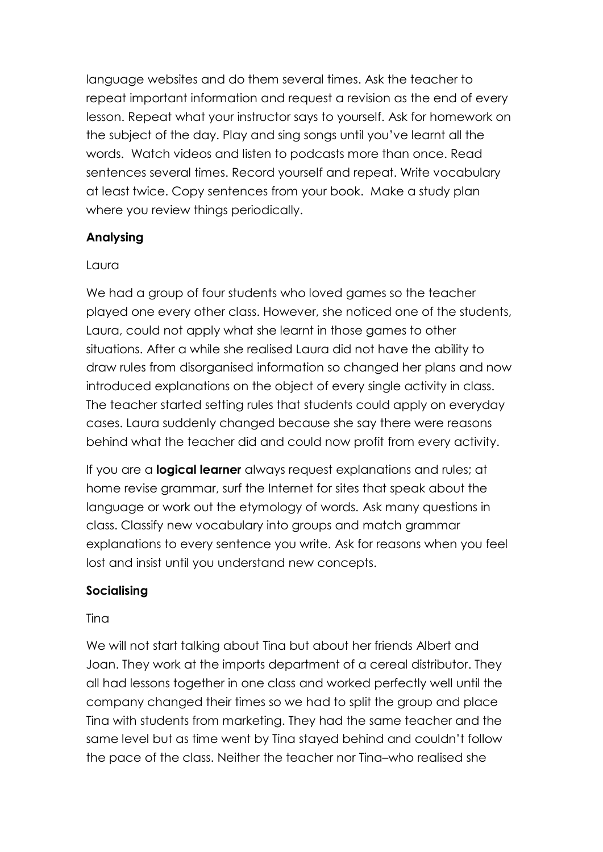language websites and do them several times. Ask the teacher to repeat important information and request a revision as the end of every lesson. Repeat what your instructor says to yourself. Ask for homework on the subject of the day. Play and sing songs until you've learnt all the words. Watch videos and listen to podcasts more than once. Read sentences several times. Record yourself and repeat. Write vocabulary at least twice. Copy sentences from your book. Make a study plan where you review things periodically.

## **Analysing**

# Laura

We had a group of four students who loved games so the teacher played one every other class. However, she noticed one of the students, Laura, could not apply what she learnt in those games to other situations. After a while she realised Laura did not have the ability to draw rules from disorganised information so changed her plans and now introduced explanations on the object of every single activity in class. The teacher started setting rules that students could apply on everyday cases. Laura suddenly changed because she say there were reasons behind what the teacher did and could now profit from every activity.

If you are a **logical learner** always request explanations and rules; at home revise grammar, surf the Internet for sites that speak about the language or work out the etymology of words. Ask many questions in class. Classify new vocabulary into groups and match grammar explanations to every sentence you write. Ask for reasons when you feel lost and insist until you understand new concepts.

# **Socialising**

## **Tina**

We will not start talking about Tina but about her friends Albert and Joan. They work at the imports department of a cereal distributor. They all had lessons together in one class and worked perfectly well until the company changed their times so we had to split the group and place Tina with students from marketing. They had the same teacher and the same level but as time went by Tina stayed behind and couldn't follow the pace of the class. Neither the teacher nor Tina–who realised she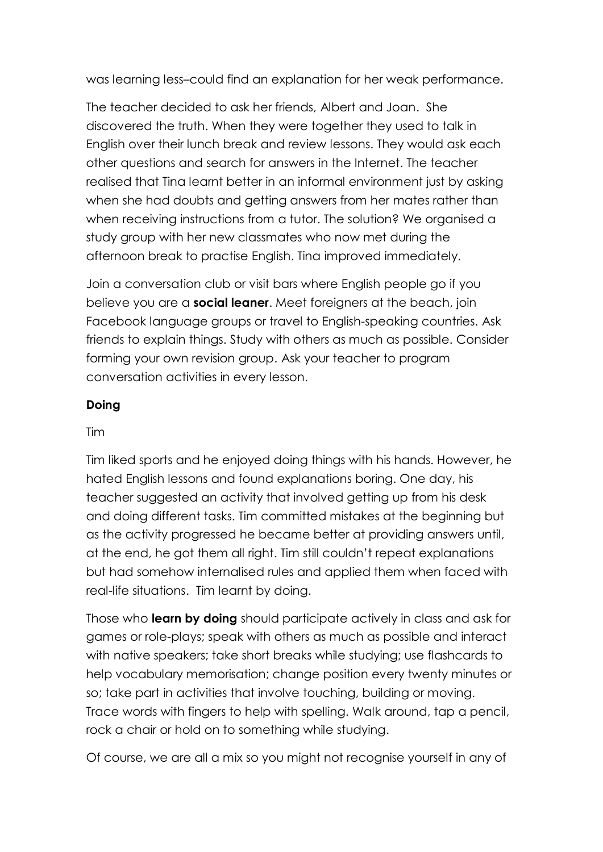was learning less–could find an explanation for her weak performance.

The teacher decided to ask her friends, Albert and Joan. She discovered the truth. When they were together they used to talk in English over their lunch break and review lessons. They would ask each other questions and search for answers in the Internet. The teacher realised that Tina learnt better in an informal environment just by asking when she had doubts and getting answers from her mates rather than when receiving instructions from a tutor. The solution? We organised a study group with her new classmates who now met during the afternoon break to practise English. Tina improved immediately.

Join a conversation club or visit bars where English people go if you believe you are a **social leaner**. Meet foreigners at the beach, join Facebook language groups or travel to English-speaking countries. Ask friends to explain things. Study with others as much as possible. Consider forming your own revision group. Ask your teacher to program conversation activities in every lesson.

## **Doing**

## Tim

Tim liked sports and he enjoyed doing things with his hands. However, he hated English lessons and found explanations boring. One day, his teacher suggested an activity that involved getting up from his desk and doing different tasks. Tim committed mistakes at the beginning but as the activity progressed he became better at providing answers until, at the end, he got them all right. Tim still couldn't repeat explanations but had somehow internalised rules and applied them when faced with real-life situations. Tim learnt by doing.

Those who **learn by doing** should participate actively in class and ask for games or role-plays; speak with others as much as possible and interact with native speakers; take short breaks while studying; use flashcards to help vocabulary memorisation; change position every twenty minutes or so; take part in activities that involve touching, building or moving. Trace words with fingers to help with spelling. Walk around, tap a pencil, rock a chair or hold on to something while studying.

Of course, we are all a mix so you might not recognise yourself in any of